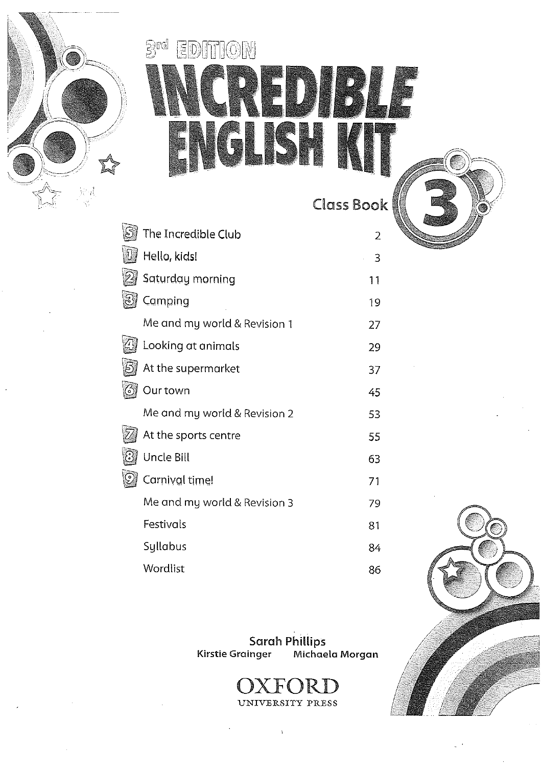

# Brd EDITION **BUF ISH**

Class Book

| The Incredible Club          | 2  |
|------------------------------|----|
| Hello, kids!                 | 3  |
| Saturday morning             | 11 |
| Camping                      | 19 |
| Me and my world & Revision 1 | 27 |
| Looking at animals           | 29 |
| At the supermarket           | 37 |
| Our town                     | 45 |
| Me and my world & Revision 2 | 53 |
| At the sports centre         | 55 |
| Uncle Bill                   | 63 |
| Carnival time!               | 71 |
| Me and my world & Revision 3 | 79 |
| Festivals                    | 81 |
| Syllabus                     | 84 |
| Wordlist                     | 86 |
|                              |    |

Sarah Phillips<br>Kirstie Grainger — Michaela Morgan

F()R UNIVERSITY PRESS

 $\bar{V}$ 

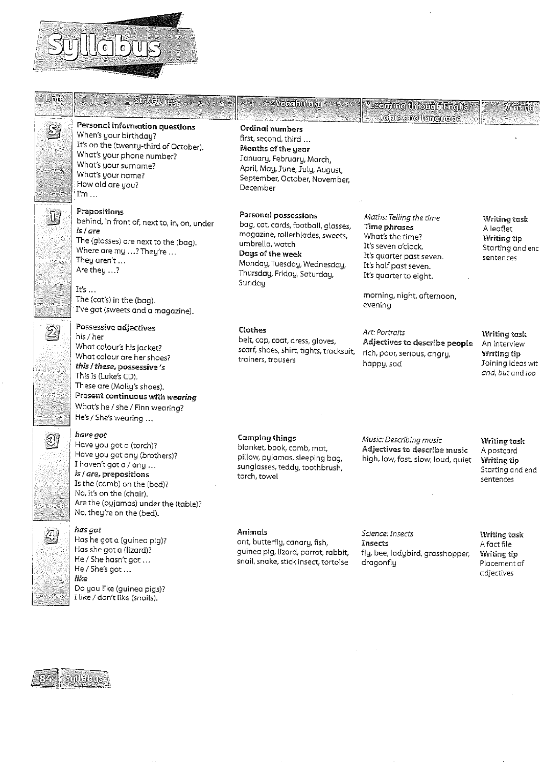# Syllabus

| Unite            | <b>Surveivies</b>                                                                                                                                                                                                                                                                                                    | Vocabulary                                                                                                                                                                                                    | Learning (inrough English'                                                                                                                                                                                        | Whiding                                                                              |
|------------------|----------------------------------------------------------------------------------------------------------------------------------------------------------------------------------------------------------------------------------------------------------------------------------------------------------------------|---------------------------------------------------------------------------------------------------------------------------------------------------------------------------------------------------------------|-------------------------------------------------------------------------------------------------------------------------------------------------------------------------------------------------------------------|--------------------------------------------------------------------------------------|
| S                | Personal information questions<br>When's your birthday?<br>It's on the (twenty-third of October).<br>What's your phone number?<br>What's your surname?<br>What's your name?<br>How old are you?<br>$\mathbb{I}'$ m                                                                                                   | <b>Ordinal numbers</b><br>first, second, third<br>Months of the year<br>January, February, March,<br>April, May, June, July, August,<br>September, October, November,<br>December                             | topic and language                                                                                                                                                                                                |                                                                                      |
| . D.             | Prepositions<br>behind, in front of, next to, in, on, under<br>is I are<br>The (glasses) are next to the (bag).<br>Where are my ? They're<br>They aren't<br>Are they ?<br>Its $\dots$<br>The (cat's) in the (bag).                                                                                                   | Personal possessions<br>bag, cat, cards, football, glasses,<br>magazine, rollerblades, sweets,<br>umbrella, watch<br>Days of the week<br>Monday, Tuesday, Wednesday,<br>Thursday, Friday, Saturday,<br>Sunday | Maths. Telling the time<br><b>Time phrases</b><br>What's the time?<br>It's seven o'clock.<br>It's quarter past seven.<br>It's half past seven.<br>It's quarter to eight.<br>morning, night, afternoon,<br>evening | Writing task<br>A leaflet<br>Writing tip<br>Starting and end<br>sentences            |
| $\mathfrak{B}_0$ | I've got (sweets and a magazine).<br>Possessive adjectives<br>his / her<br>What colour's his jacket?<br>What colour are her shoes?<br>this / these, possessive's<br>This is (Luke's CD).<br>These are (Molly's shoes).<br>Present continuous with wearing<br>What's he / she / Finn wearing?<br>He's / She's wearing | Clothes<br>belt, cap, coat, dress, gloves,<br>scarf, shoes, shirt, tights, tracksuit,<br>trainers, trousers                                                                                                   | Art: Portraits<br>Adjectives to describe people<br>rich, poor, serious, angry,<br>happy, sad                                                                                                                      | Writing task<br>An interview<br>Writing tip<br>Joining ideas wit<br>and, but and too |
| 3,               | have got<br>Have you got a (torch)?<br>Have you got any (brothers)?<br>I haven't got a / any<br>is / are, prepositions<br>Is the (comb) on the (bed)?<br>No, it's on the (chair).<br>Are the (pyjamas) under the (table)?<br>No, they're on the (bed).                                                               | <b>Camping things</b><br>blanket, book, comb, mat,<br>pillow, pyjamas, sleeping bag,<br>sunglasses, teddy, toothbrush,<br>torch, towel                                                                        | Music: Describing music<br>Adjectives to describe music<br>high, low, fast, slow, loud, quiet                                                                                                                     | Writing task<br>A postcard<br>Writing tip<br>Starting and end<br>sentences           |
|                  | has got<br>Has he got a (guinea pig)?<br>Has she got a (lizard)?<br>He / She hasn't got<br>He / She's got<br>like<br>Do you like (guinea pigs)?<br>I like / don't like (snails).                                                                                                                                     | Animals<br>ant, butterfly, canary, fish,<br>guinea pig, lizard, parrot, rabbit,<br>snail, snake, stick insect, tortoise                                                                                       | Science: Insects<br>Insects<br>fly, bee, ladybird, grasshopper,<br>dragonfly                                                                                                                                      | Writing task<br>A fact file<br>Writing tip<br>Placement of<br>adjectives             |
|                  | <b>Suille bus</b>                                                                                                                                                                                                                                                                                                    |                                                                                                                                                                                                               |                                                                                                                                                                                                                   |                                                                                      |

 $\bar{\mathcal{A}}$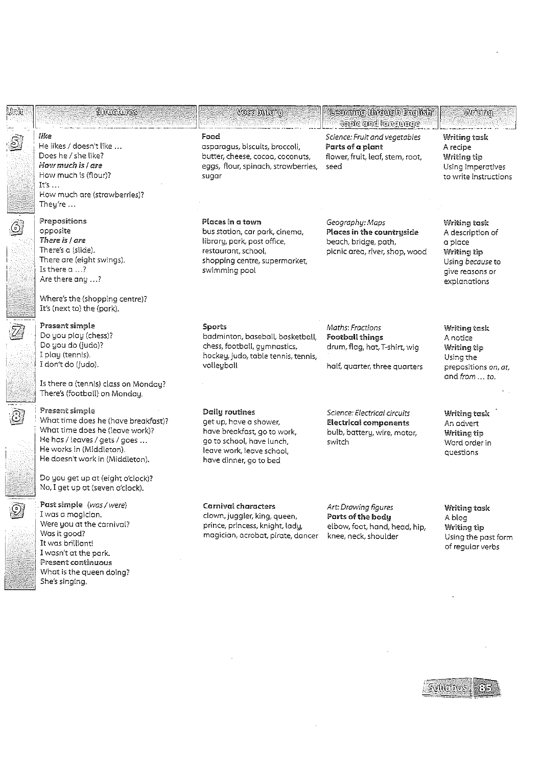| Umit                        | Sunuciumes                                                                                                                                                                                                                                                        | <b>Vocabularu</b>                                                                                                                                           | <u>'Leaming through English'</u><br>uppic and langurage                                                      | Wrffting                                                                                                                 |
|-----------------------------|-------------------------------------------------------------------------------------------------------------------------------------------------------------------------------------------------------------------------------------------------------------------|-------------------------------------------------------------------------------------------------------------------------------------------------------------|--------------------------------------------------------------------------------------------------------------|--------------------------------------------------------------------------------------------------------------------------|
| $\overline{\mathbb{S}}$     | like<br>He likes / doesn't like<br>Does he / she like?<br>How much is I are<br>How much is (flour)?<br>It's<br>How much are (strawberries)?<br>They're $\dots$                                                                                                    | Food<br>asparagus, biscuits, broccoli,<br>butter, cheese, cocoa, coconuts,<br>eggs, flour, spinach, strawberries,<br>sugar                                  | Science: Fruit and vegetables<br>Parts of a plant<br>flower, fruit, leaf, stem, root,<br>seed                | Writing tosk<br>A recipe<br>Writing tip<br>Using imperatives<br>to write instructions                                    |
| $\circledcirc$              | Prepositions<br>opposite<br>There is I are<br>There's a (slide).<br>There are (eight swings).<br>Is there $\alpha$ ?<br>Are there any ?<br>Where's the (shopping centre)?<br>It's (next to) the (park).                                                           | Places in a town<br>bus station, car park, cinema,<br>library, park, post office,<br>restaurant, school,<br>shopping centre, supermarket,<br>swimming pool  | Geography: Maps<br>Places in the countryside<br>beach, bridge, path,<br>picnic area, river, shop, wood       | Writing task<br>A description of<br>a place<br>Writing tip<br>Using <i>because</i> to<br>give reasons or<br>explanations |
| $\bar{Z}$                   | Present simple<br>Do you play (chess)?<br>Do you do (judo)?<br>I play (tennis).<br>I don't do (judo).<br>Is there a (tennis) class on Monday?<br>There's (football) on Monday.                                                                                    | Sports<br>badminton, baseball, basketball,<br>chess, football, gymnastics,<br>hockey, judo, table tennis, tennis,<br>volleyball                             | Maths: Fractions<br><b>Football things</b><br>drum, flag, hat, T-shirt, wig<br>half, quarter, three quarters | Writing task<br>A notice<br>Writing tip<br>Using the<br>prepositions on, at,<br>and from  to.                            |
| $\odot$                     | Present simple<br>What time does he (have breakfast)?<br>What time does he (leave work)?<br>He has / leaves / gets / goes<br>He works in (Middleton).<br>He doesn't work in (Middleton).<br>Do you get up at (eight o'clock)?<br>No, I get up at (seven o'clock). | Daily routines<br>get up, have a shower,<br>have breakfast, go to work,<br>go to school, have lunch,<br>leave work, leave school,<br>have dinner, go to bed | Science: Electrical circuits<br><b>Electrical components</b><br>bulb, battery, wire, motor,<br>switch        | <b>Writing task</b><br>An advert<br>Writing tip<br>Word order in<br>questions                                            |
| $\overline{\odot}$<br>فيكتا | Past simple (was / were)<br>I was a magician.<br>Were you at the carnival?<br>Was it good?<br>It was brilliant!<br>I wasn't at the park.<br>Present continuous<br>What is the queen doing?<br>She's singing.                                                      | Carnival characters<br>clown, juggler, king, queen,<br>prince, princess, knight, lady,<br>magician, acrobat, pirate, dancer                                 | Art: Drawing figures<br>Parts of the body<br>elbow, foot, hand, head, hip,<br>knee, neck, shoulder           | Writing task<br>A blog<br>Writing tip<br>Using the past form<br>of regular verbs                                         |
|                             |                                                                                                                                                                                                                                                                   |                                                                                                                                                             |                                                                                                              |                                                                                                                          |

**POSTER**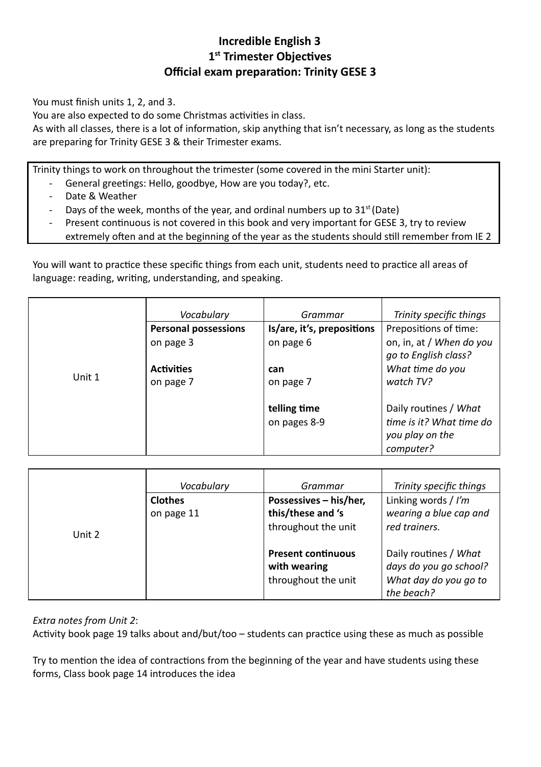## **Incredible English 3 1st Trimester Objectives Official exam preparation: Trinity GESE 3**

You must finish units 1, 2, and 3.

You are also expected to do some Christmas activities in class.

As with all classes, there is a lot of information, skip anything that isn't necessary, as long as the students are preparing for Trinity GESE 3 & their Trimester exams.

Trinity things to work on throughout the trimester (some covered in the mini Starter unit):

- General greetings: Hello, goodbye, How are you today?, etc.
- Date & Weather
- Days of the week, months of the year, and ordinal numbers up to  $31<sup>st</sup>$  (Date)
- Present continuous is not covered in this book and very important for GESE 3, try to review extremely often and at the beginning of the year as the students should still remember from IE 2

You will want to practice these specific things from each unit, students need to practice all areas of language: reading, writing, understanding, and speaking.

|        | Vocabulary                  | Grammar                    | Trinity specific things  |
|--------|-----------------------------|----------------------------|--------------------------|
|        | <b>Personal possessions</b> | Is/are, it's, prepositions | Prepositions of time:    |
|        | on page 3                   | on page 6                  | on, in, at / When do you |
|        |                             |                            | go to English class?     |
|        | <b>Activities</b>           | can                        | What time do you         |
| Unit 1 | on page 7                   | on page 7                  | watch TV?                |
|        |                             |                            |                          |
|        |                             | telling time               | Daily routines / What    |
|        |                             | on pages 8-9               | time is it? What time do |
|        |                             |                            | you play on the          |
|        |                             |                            | computer?                |

|        | Vocabulary     | Grammar                   | Trinity specific things             |
|--------|----------------|---------------------------|-------------------------------------|
|        | <b>Clothes</b> | Possessives - his/her,    | Linking words / I'm                 |
|        | on page 11     | this/these and 's         | wearing a blue cap and              |
| Unit 2 |                | throughout the unit       | red trainers.                       |
|        |                | <b>Present continuous</b> | Daily routines / What               |
|        |                | with wearing              | days do you go school?              |
|        |                | throughout the unit       | What day do you go to<br>the beach? |

*Extra notes from Unit 2* :

Activity book page 19 talks about and/but/too  $-$  students can practice using these as much as possible

Try to mention the idea of contractions from the beginning of the year and have students using these forms, Class book page 14 introduces the idea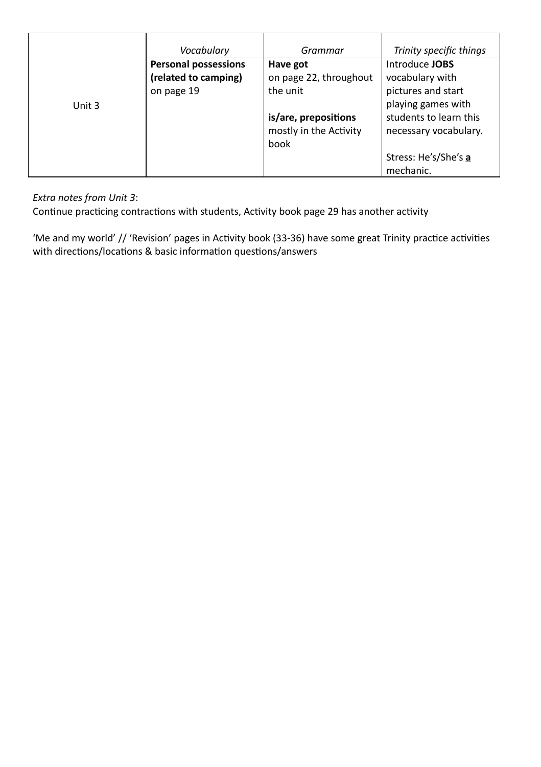|        | Vocabulary                  | Grammar                | Trinity specific things |
|--------|-----------------------------|------------------------|-------------------------|
|        | <b>Personal possessions</b> | Have got               | Introduce JOBS          |
|        | (related to camping)        | on page 22, throughout | vocabulary with         |
|        | on page 19                  | the unit               | pictures and start      |
| Unit 3 |                             |                        | playing games with      |
|        |                             | is/are, prepositions   | students to learn this  |
|        |                             | mostly in the Activity | necessary vocabulary.   |
|        |                             | book                   |                         |
|        |                             |                        | Stress: He's/She's a    |
|        |                             |                        | mechanic.               |

#### *Extra notes from Unit 3* :

Continue practicing contractions with students, Activity book page 29 has another activity

'Me and my world' // 'Revision' pages in Activity book (33-36) have some great Trinity practice activities with directions/locations & basic information questions/answers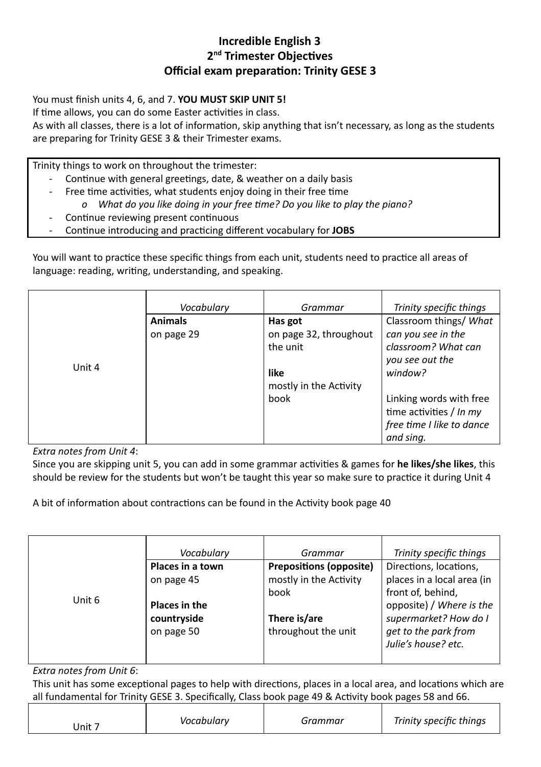### **Incredible English 3** 2<sup>nd</sup> Trimester Objectives **Official exam preparation: Trinity GESE 3**

You must finish units 4, 6, and 7. **YOU MUST SKIP UNIT 5!** 

If time allows, you can do some Easter activities in class.

As with all classes, there is a lot of information, skip anything that isn't necessary, as long as the students are preparing for Trinity GESE 3 & their Trimester exams.

Trinity things to work on throughout the trimester:

- Continue with general greetings, date, & weather on a daily basis
- Free time activities, what students enjoy doing in their free time *o* What do you like doing in your free time? Do you like to play the piano?
	- Continue reviewing present continuous
- Continue introducing and practicing different vocabulary for JOBS

You will want to practice these specific things from each unit, students need to practice all areas of language: reading, writing, understanding, and speaking.

|        | Vocabulary     | Grammar                | Trinity specific things   |
|--------|----------------|------------------------|---------------------------|
|        | <b>Animals</b> | Has got                | Classroom things/ What    |
|        | on page 29     | on page 32, throughout | can you see in the        |
|        |                | the unit               | classroom? What can       |
|        |                |                        | you see out the           |
| Unit 4 |                | like                   | window?                   |
|        |                | mostly in the Activity |                           |
|        |                | book                   | Linking words with free   |
|        |                |                        | time activities / In my   |
|        |                |                        | free time I like to dance |
|        |                |                        | and sing.                 |

*Extra notes from Unit 4* :

Since you are skipping unit 5, you can add in some grammar activities & games for **he likes/she likes**, this should be review for the students but won't be taught this year so make sure to practice it during Unit 4

A bit of information about contractions can be found in the Activity book page 40

|        | Vocabulary       | Grammar                        | Trinity specific things    |
|--------|------------------|--------------------------------|----------------------------|
|        | Places in a town | <b>Prepositions (opposite)</b> | Directions, locations,     |
|        | on page 45       | mostly in the Activity         | places in a local area (in |
|        |                  | book                           | front of, behind,          |
| Unit 6 | Places in the    |                                | opposite) / Where is the   |
|        | countryside      | There is/are                   | supermarket? How do I      |
|        | on page 50       | throughout the unit            | get to the park from       |
|        |                  |                                | Julie's house? etc.        |
|        |                  |                                |                            |

*Extra notes from Unit 6* :

This unit has some exceptional pages to help with directions, places in a local area, and locations which are all fundamental for Trinity GESE 3. Specifically, Class book page 49 & Activity book pages 58 and 66.

| Vocabulary<br>Jnit $7$ | Grammar | Trinity specific things |
|------------------------|---------|-------------------------|
|------------------------|---------|-------------------------|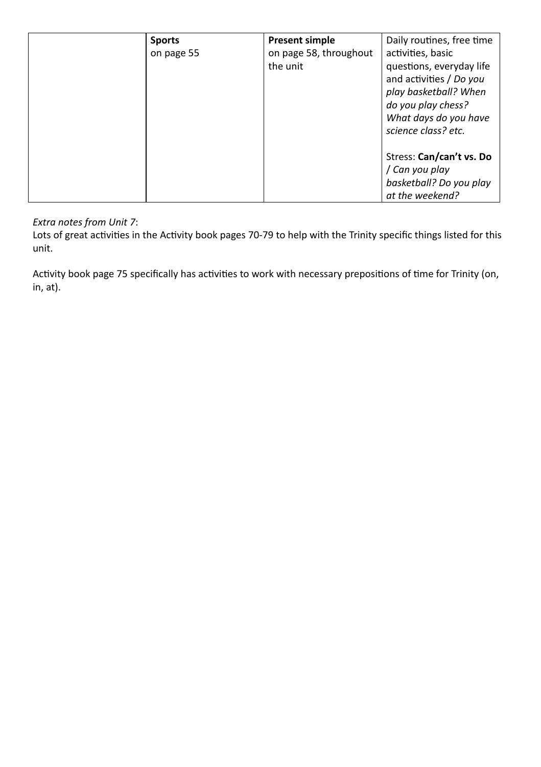| <b>Sports</b> | <b>Present simple</b>  | Daily routines, free time |
|---------------|------------------------|---------------------------|
| on page 55    | on page 58, throughout | activities, basic         |
|               | the unit               | questions, everyday life  |
|               |                        | and activities / Do you   |
|               |                        | play basketball? When     |
|               |                        | do you play chess?        |
|               |                        | What days do you have     |
|               |                        | science class? etc.       |
|               |                        |                           |
|               |                        | Stress: Can/can't vs. Do  |
|               |                        | / Can you play            |
|               |                        | basketball? Do you play   |
|               |                        | at the weekend?           |

#### *Extra notes from Unit 7* :

Lots of great activities in the Activity book pages 70-79 to help with the Trinity specific things listed for this unit.

Activity book page 75 specifically has activities to work with necessary prepositions of time for Trinity (on, in, at).